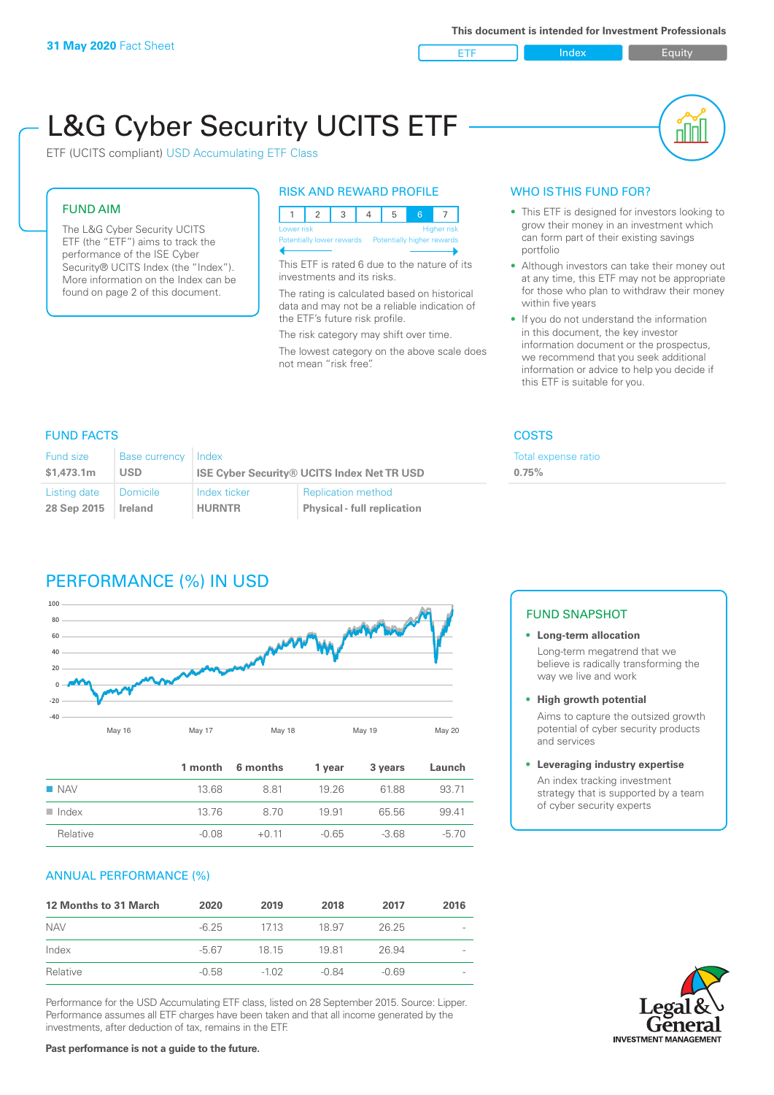

nl M

# L&G Cyber Security UCITS ETF

ETF (UCITS compliant) USD Accumulating ETF Class

# FUND AIM

The L&G Cyber Security UCITS ETF (the "ETF") aims to track the performance of the ISE Cyber Security® UCITS Index (the "Index"). More information on the Index can be found on page 2 of this document.

# RISK AND REWARD PROFILE

|  |                                  |  |  |                                                      | 5 |  |  |  |
|--|----------------------------------|--|--|------------------------------------------------------|---|--|--|--|
|  | Lower risk<br><b>Higher risk</b> |  |  |                                                      |   |  |  |  |
|  |                                  |  |  | Potentially lower rewards Potentially higher rewards |   |  |  |  |
|  |                                  |  |  |                                                      |   |  |  |  |

This ETF is rated 6 due to the nature of its investments and its risks.

The rating is calculated based on historical data and may not be a reliable indication of the ETF's future risk profile.

The risk category may shift over time. The lowest category on the above scale does not mean "risk free".

# WHO IS THIS FUND FOR?

- This ETF is designed for investors looking to grow their money in an investment which can form part of their existing savings portfolio
- Although investors can take their money out at any time, this ETF may not be appropriate for those who plan to withdraw their money within five years
- If you do not understand the information in this document, the key investor information document or the prospectus, we recommend that you seek additional information or advice to help you decide if this ETF is suitable for you.

**0.75%**

Total expense ratio

# FUND FACTS COSTS

| Fund size    | <b>Base currency</b> | Index                                             |                                    |  |
|--------------|----------------------|---------------------------------------------------|------------------------------------|--|
| \$1.473.1m   | <b>USD</b>           | <b>ISE Cyber Security® UCITS Index Net TR USD</b> |                                    |  |
| Listing date | Domicile             | Index ticker                                      | <b>Replication method</b>          |  |
| 28 Sep 2015  | Ireland              | <b>HURNTR</b>                                     | <b>Physical - full replication</b> |  |

# PERFORMANCE (%) IN USD



|                      |       | 1 month 6 months | 1 year  | 3 years | Launch |
|----------------------|-------|------------------|---------|---------|--------|
| $\blacksquare$ NAV   | 13.68 | 881              | 19 26   | 6188    | 93.71  |
| $\blacksquare$ Index | 13.76 | 8.70             | 1991    | 65.56   | 9941   |
| Relative             | -0.08 | $+0.11$          | $-0.65$ | $-368$  | $-570$ |

# ANNUAL PERFORMANCE (%)

| <b>12 Months to 31 March</b> | 2020    | 2019    | 2018  | 2017    | 2016 |
|------------------------------|---------|---------|-------|---------|------|
| <b>NAV</b>                   | $-6.25$ | 1713    | 18.97 | 26.25   |      |
| Index                        | $-567$  | 18 15   | 1981  | 26.94   |      |
| Relative                     | $-0.58$ | $-1.02$ | -0.84 | $-0.69$ |      |

Performance for the USD Accumulating ETF class, listed on 28 September 2015. Source: Lipper. Performance assumes all ETF charges have been taken and that all income generated by the investments, after deduction of tax, remains in the ETF.

# FUND SNAPSHOT

## **• Long-term allocation** Long-term megatrend that we believe is radically transforming the way we live and work

**• High growth potential**

Aims to capture the outsized growth potential of cyber security products and services

### **• Leveraging industry expertise**

An index tracking investment strategy that is supported by a team of cyber security experts



**Past performance is not a guide to the future.**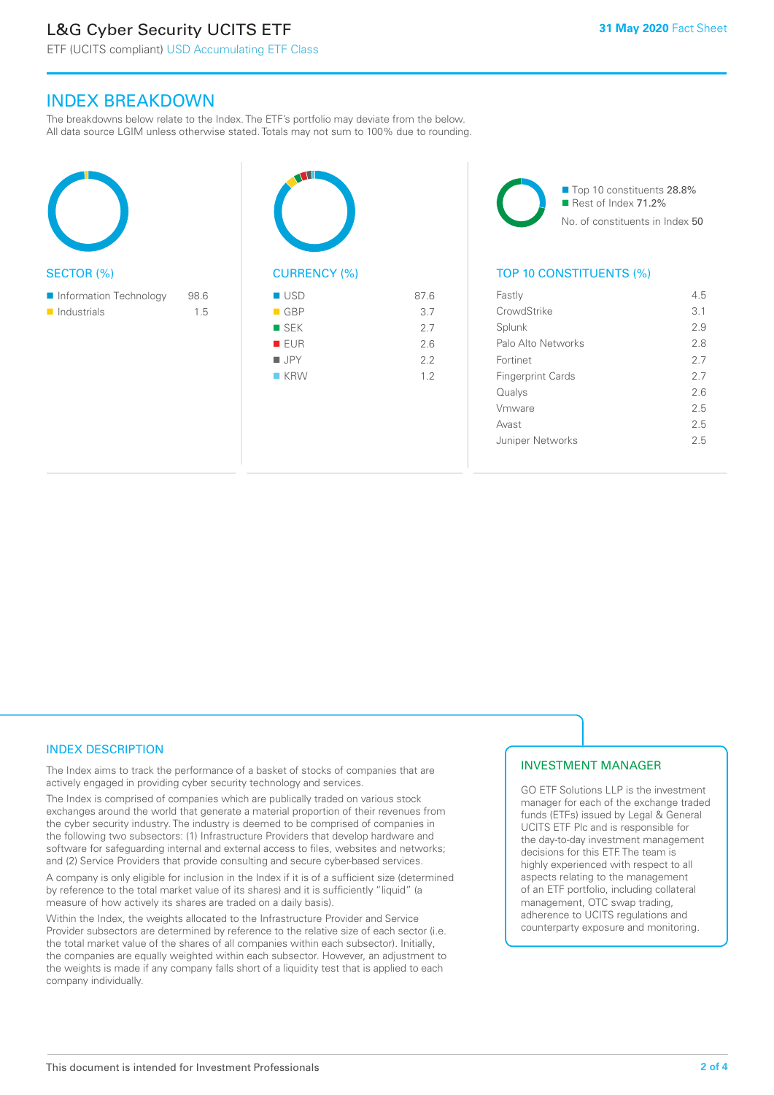# L&G Cyber Security UCITS ETF

ETF (UCITS compliant) USD Accumulating ETF Class

# INDEX BREAKDOWN

The breakdowns below relate to the Index. The ETF's portfolio may deviate from the below. All data source LGIM unless otherwise stated. Totals may not sum to 100% due to rounding.

| <b>SECTOR (%)</b>                     |             |  |
|---------------------------------------|-------------|--|
| Information Technology<br>Industrials | 98.6<br>1.5 |  |
|                                       |             |  |





# TOP 10 CONSTITUENTS (%)

| Fastly                   | 45  |
|--------------------------|-----|
| CrowdStrike              | 3.1 |
| Splunk                   | 29  |
| Palo Alto Networks       | 28  |
| Fortinet                 | 27  |
| <b>Fingerprint Cards</b> | 27  |
| Qualys                   | 26  |
| Vmware                   | 25  |
| Avast                    | 2.5 |
| Juniper Networks         | 25  |

# INDEX DESCRIPTION

The Index aims to track the performance of a basket of stocks of companies that are actively engaged in providing cyber security technology and services.

The Index is comprised of companies which are publically traded on various stock exchanges around the world that generate a material proportion of their revenues from the cyber security industry. The industry is deemed to be comprised of companies in the following two subsectors: (1) Infrastructure Providers that develop hardware and software for safeguarding internal and external access to files, websites and networks; and (2) Service Providers that provide consulting and secure cyber-based services.

A company is only eligible for inclusion in the Index if it is of a sufficient size (determined by reference to the total market value of its shares) and it is sufficiently "liquid" (a measure of how actively its shares are traded on a daily basis).

Within the Index, the weights allocated to the Infrastructure Provider and Service Provider subsectors are determined by reference to the relative size of each sector (i.e. the total market value of the shares of all companies within each subsector). Initially, the companies are equally weighted within each subsector. However, an adjustment to the weights is made if any company falls short of a liquidity test that is applied to each company individually.

# INVESTMENT MANAGER

GO ETF Solutions LLP is the investment manager for each of the exchange traded funds (ETFs) issued by Legal & General UCITS ETF Plc and is responsible for the day-to-day investment management decisions for this ETF. The team is highly experienced with respect to all aspects relating to the management of an ETF portfolio, including collateral management, OTC swap trading, adherence to UCITS regulations and counterparty exposure and monitoring.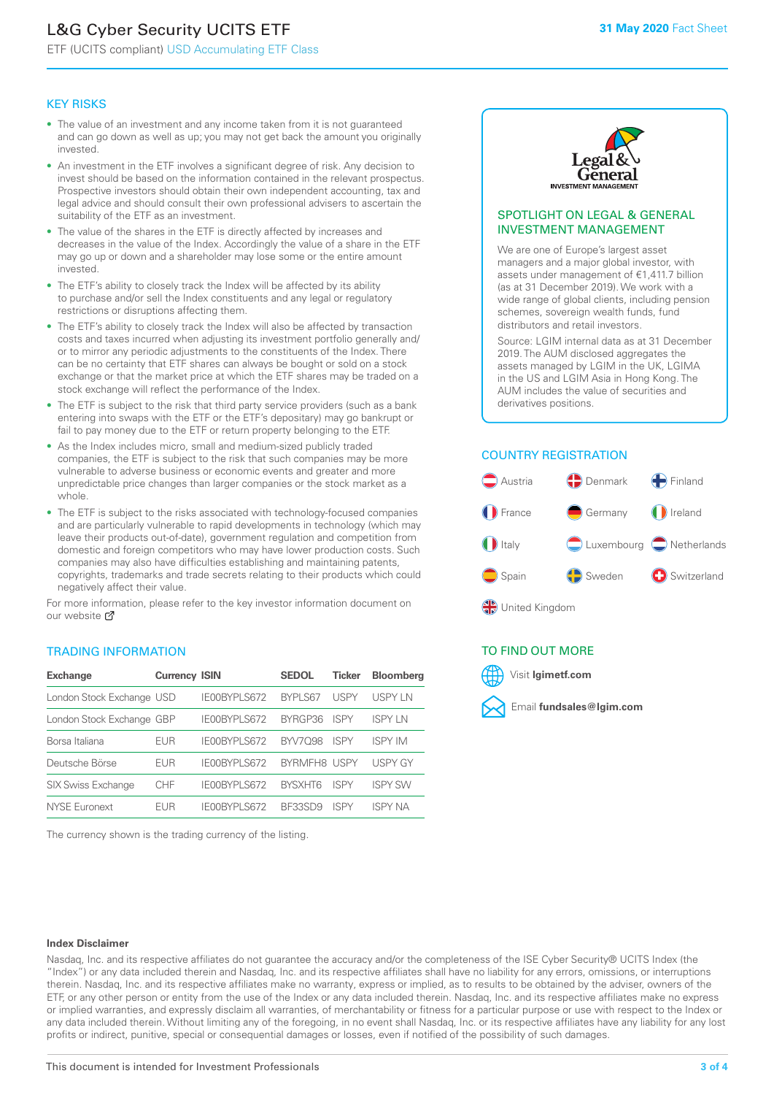# L&G Cyber Security UCITS ETF

ETF (UCITS compliant) USD Accumulating ETF Class

# KEY RISKS

- The value of an investment and any income taken from it is not guaranteed and can go down as well as up; you may not get back the amount you originally invested.
- An investment in the ETF involves a significant degree of risk. Any decision to invest should be based on the information contained in the relevant prospectus. Prospective investors should obtain their own independent accounting, tax and legal advice and should consult their own professional advisers to ascertain the suitability of the ETF as an investment.
- The value of the shares in the ETF is directly affected by increases and decreases in the value of the Index. Accordingly the value of a share in the ETF may go up or down and a shareholder may lose some or the entire amount invested.
- The ETF's ability to closely track the Index will be affected by its ability to purchase and/or sell the Index constituents and any legal or regulatory restrictions or disruptions affecting them.
- The ETF's ability to closely track the Index will also be affected by transaction costs and taxes incurred when adjusting its investment portfolio generally and/ or to mirror any periodic adjustments to the constituents of the Index. There can be no certainty that ETF shares can always be bought or sold on a stock exchange or that the market price at which the ETF shares may be traded on a stock exchange will reflect the performance of the Index.
- The ETF is subject to the risk that third party service providers (such as a bank entering into swaps with the ETF or the ETF's depositary) may go bankrupt or fail to pay money due to the ETF or return property belonging to the ETF.
- As the Index includes micro, small and medium-sized publicly traded companies, the ETF is subject to the risk that such companies may be more vulnerable to adverse business or economic events and greater and more unpredictable price changes than larger companies or the stock market as a whole.
- The ETF is subject to the risks associated with technology-focused companies and are particularly vulnerable to rapid developments in technology (which may leave their products out-of-date), government regulation and competition from domestic and foreign competitors who may have lower production costs. Such companies may also have difficulties establishing and maintaining patents, copyrights, trademarks and trade secrets relating to their products which could negatively affect their value.

For more information, please refer to the key investor information document on our website Ø

# TRADING INFORMATION

| <b>Exchange</b>           | <b>Currency ISIN</b> |              | <b>SEDOL</b>   | <b>Ticker</b> | <b>Bloomberg</b> |
|---------------------------|----------------------|--------------|----------------|---------------|------------------|
| London Stock Exchange USD |                      | IE00BYPLS672 | <b>BYPLS67</b> | <b>USPY</b>   | <b>USPYLN</b>    |
| London Stock Exchange GBP |                      | IE00BYPLS672 | BYRGP36        | <b>ISPY</b>   | ISPY I N         |
| Borsa Italiana            | EUR                  | IE00BYPLS672 | <b>BYV7098</b> | <b>ISPY</b>   | <b>ISPY IM</b>   |
| Deutsche Börse            | EUR                  | IF00BYPLS672 | BYRMFH8 USPY   |               | <b>USPY GY</b>   |
| <b>SIX Swiss Exchange</b> | <b>CHF</b>           | IE00BYPLS672 | <b>RYSXHT6</b> | <b>ISPY</b>   | <b>ISPY SW</b>   |
| NYSE Euronext             | FUR                  | IE00BYPLS672 | <b>BE33SD9</b> | ISPY          | <b>ISPY NA</b>   |

The currency shown is the trading currency of the listing.



# SPOTLIGHT ON LEGAL & GENERAL INVESTMENT MANAGEMENT

We are one of Europe's largest asset managers and a major global investor, with assets under management of €1,411.7 billion (as at 31 December 2019). We work with a wide range of global clients, including pension schemes, sovereign wealth funds, fund distributors and retail investors.

Source: LGIM internal data as at 31 December 2019. The AUM disclosed aggregates the assets managed by LGIM in the UK, LGIMA in the US and LGIM Asia in Hong Kong. The AUM includes the value of securities and derivatives positions.

# COUNTRY REGISTRATION



# TO FIND OUT MORE



#### **Index Disclaimer**

Nasdaq, Inc. and its respective affiliates do not guarantee the accuracy and/or the completeness of the ISE Cyber Security® UCITS Index (the "Index") or any data included therein and Nasdaq, Inc. and its respective affiliates shall have no liability for any errors, omissions, or interruptions therein. Nasdaq, Inc. and its respective affiliates make no warranty, express or implied, as to results to be obtained by the adviser, owners of the ETF, or any other person or entity from the use of the Index or any data included therein. Nasdaq, Inc. and its respective affiliates make no express or implied warranties, and expressly disclaim all warranties, of merchantability or fitness for a particular purpose or use with respect to the Index or any data included therein. Without limiting any of the foregoing, in no event shall Nasdaq, Inc. or its respective affiliates have any liability for any lost profits or indirect, punitive, special or consequential damages or losses, even if notified of the possibility of such damages.